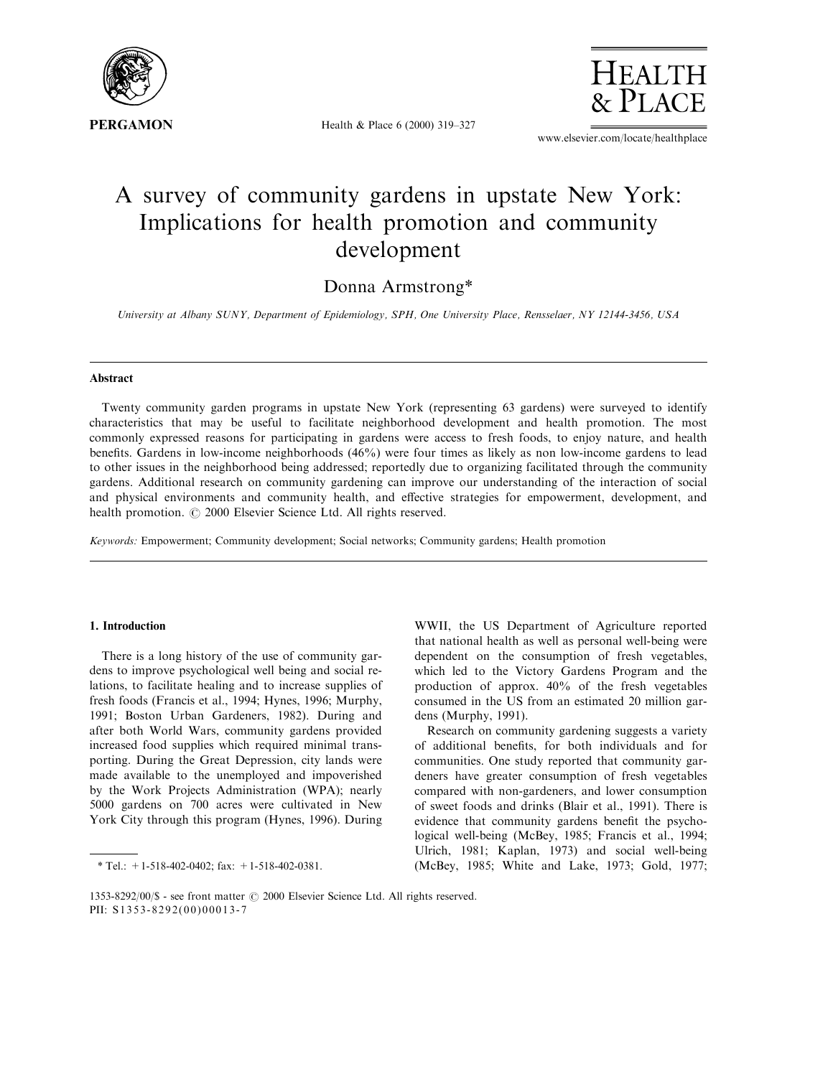

Health & Place 6 (2000) 319-327



www.elsevier.com/locate/healthplace

# A survey of community gardens in upstate New York: Implications for health promotion and community development

# Donna Armstrong\*

University at Albany SUNY, Department of Epidemiology, SPH, One University Place, Rensselaer, NY 12144-3456, USA

## Abstract

Twenty community garden programs in upstate New York (representing 63 gardens) were surveyed to identify characteristics that may be useful to facilitate neighborhood development and health promotion. The most commonly expressed reasons for participating in gardens were access to fresh foods, to enjoy nature, and health benefits. Gardens in low-income neighborhoods (46%) were four times as likely as non low-income gardens to lead to other issues in the neighborhood being addressed; reportedly due to organizing facilitated through the community gardens. Additional research on community gardening can improve our understanding of the interaction of social and physical environments and community health, and effective strategies for empowerment, development, and health promotion.  $\odot$  2000 Elsevier Science Ltd. All rights reserved.

Keywords: Empowerment; Community development; Social networks; Community gardens; Health promotion

# 1. Introduction

There is a long history of the use of community gardens to improve psychological well being and social relations, to facilitate healing and to increase supplies of fresh foods (Francis et al., 1994; Hynes, 1996; Murphy, 1991; Boston Urban Gardeners, 1982). During and after both World Wars, community gardens provided increased food supplies which required minimal transporting. During the Great Depression, city lands were made available to the unemployed and impoverished by the Work Projects Administration (WPA); nearly 5000 gardens on 700 acres were cultivated in New York City through this program (Hynes, 1996). During

\* Tel.:  $+1-518-402-0402$ ; fax:  $+1-518-402-0381$ .

WWII, the US Department of Agriculture reported that national health as well as personal well-being were dependent on the consumption of fresh vegetables, which led to the Victory Gardens Program and the production of approx. 40% of the fresh vegetables consumed in the US from an estimated 20 million gardens (Murphy, 1991).

Research on community gardening suggests a variety of additional benefits, for both individuals and for communities. One study reported that community gardeners have greater consumption of fresh vegetables compared with non-gardeners, and lower consumption of sweet foods and drinks (Blair et al., 1991). There is evidence that community gardens benefit the psychological well-being (McBey, 1985; Francis et al., 1994; Ulrich, 1981; Kaplan, 1973) and social well-being (McBey, 1985; White and Lake, 1973; Gold, 1977;

<sup>1353-8292/00/\$ -</sup> see front matter  $\odot$  2000 Elsevier Science Ltd. All rights reserved. PII: S1353-8292(00)00013-7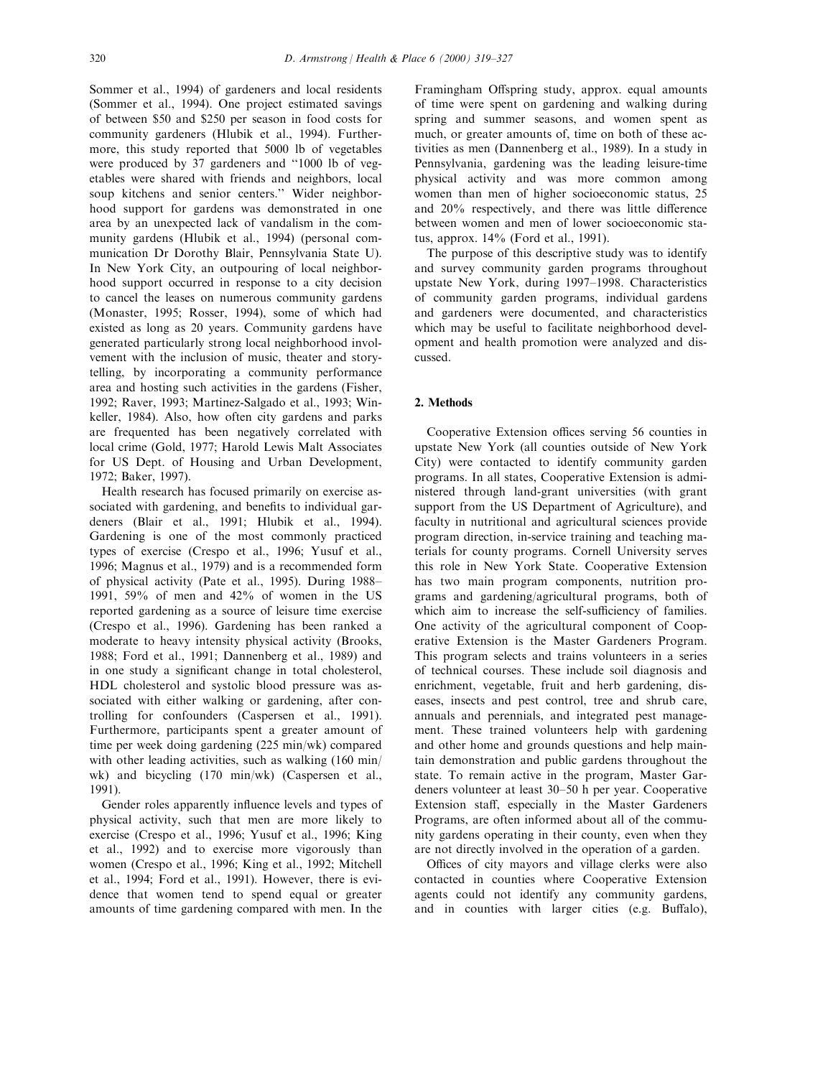Sommer et al., 1994) of gardeners and local residents (Sommer et al., 1994). One project estimated savings of between \$50 and \$250 per season in food costs for community gardeners (Hlubik et al., 1994). Furthermore, this study reported that 5000 lb of vegetables were produced by 37 gardeners and "1000 lb of vegetables were shared with friends and neighbors, local soup kitchens and senior centers.'' Wider neighborhood support for gardens was demonstrated in one area by an unexpected lack of vandalism in the community gardens (Hlubik et al., 1994) (personal communication Dr Dorothy Blair, Pennsylvania State U). In New York City, an outpouring of local neighborhood support occurred in response to a city decision to cancel the leases on numerous community gardens (Monaster, 1995; Rosser, 1994), some of which had existed as long as 20 years. Community gardens have generated particularly strong local neighborhood involvement with the inclusion of music, theater and storytelling, by incorporating a community performance area and hosting such activities in the gardens (Fisher, 1992; Raver, 1993; Martinez-Salgado et al., 1993; Winkeller, 1984). Also, how often city gardens and parks are frequented has been negatively correlated with local crime (Gold, 1977; Harold Lewis Malt Associates for US Dept. of Housing and Urban Development, 1972; Baker, 1997).

Health research has focused primarily on exercise associated with gardening, and benefits to individual gardeners (Blair et al., 1991; Hlubik et al., 1994). Gardening is one of the most commonly practiced types of exercise (Crespo et al., 1996; Yusuf et al., 1996; Magnus et al., 1979) and is a recommended form of physical activity (Pate et al., 1995). During 1988– 1991, 59% of men and 42% of women in the US reported gardening as a source of leisure time exercise (Crespo et al., 1996). Gardening has been ranked a moderate to heavy intensity physical activity (Brooks, 1988; Ford et al., 1991; Dannenberg et al., 1989) and in one study a significant change in total cholesterol, HDL cholesterol and systolic blood pressure was associated with either walking or gardening, after controlling for confounders (Caspersen et al., 1991). Furthermore, participants spent a greater amount of time per week doing gardening (225 min/wk) compared with other leading activities, such as walking (160 min/ wk) and bicycling (170 min/wk) (Caspersen et al., 1991).

Gender roles apparently influence levels and types of physical activity, such that men are more likely to exercise (Crespo et al., 1996; Yusuf et al., 1996; King et al., 1992) and to exercise more vigorously than women (Crespo et al., 1996; King et al., 1992; Mitchell et al., 1994; Ford et al., 1991). However, there is evidence that women tend to spend equal or greater amounts of time gardening compared with men. In the

Framingham Offspring study, approx. equal amounts of time were spent on gardening and walking during spring and summer seasons, and women spent as much, or greater amounts of, time on both of these activities as men (Dannenberg et al., 1989). In a study in Pennsylvania, gardening was the leading leisure-time physical activity and was more common among women than men of higher socioeconomic status, 25 and  $20\%$  respectively, and there was little difference between women and men of lower socioeconomic status, approx. 14% (Ford et al., 1991).

The purpose of this descriptive study was to identify and survey community garden programs throughout upstate New York, during 1997-1998. Characteristics of community garden programs, individual gardens and gardeners were documented, and characteristics which may be useful to facilitate neighborhood development and health promotion were analyzed and discussed.

# 2. Methods

Cooperative Extension offices serving 56 counties in upstate New York (all counties outside of New York City) were contacted to identify community garden programs. In all states, Cooperative Extension is administered through land-grant universities (with grant support from the US Department of Agriculture), and faculty in nutritional and agricultural sciences provide program direction, in-service training and teaching materials for county programs. Cornell University serves this role in New York State. Cooperative Extension has two main program components, nutrition programs and gardening/agricultural programs, both of which aim to increase the self-sufficiency of families. One activity of the agricultural component of Cooperative Extension is the Master Gardeners Program. This program selects and trains volunteers in a series of technical courses. These include soil diagnosis and enrichment, vegetable, fruit and herb gardening, diseases, insects and pest control, tree and shrub care, annuals and perennials, and integrated pest management. These trained volunteers help with gardening and other home and grounds questions and help maintain demonstration and public gardens throughout the state. To remain active in the program, Master Gardeners volunteer at least 30–50 h per year. Cooperative Extension staff, especially in the Master Gardeners Programs, are often informed about all of the community gardens operating in their county, even when they are not directly involved in the operation of a garden.

Offices of city mayors and village clerks were also contacted in counties where Cooperative Extension agents could not identify any community gardens, and in counties with larger cities (e.g. Buffalo),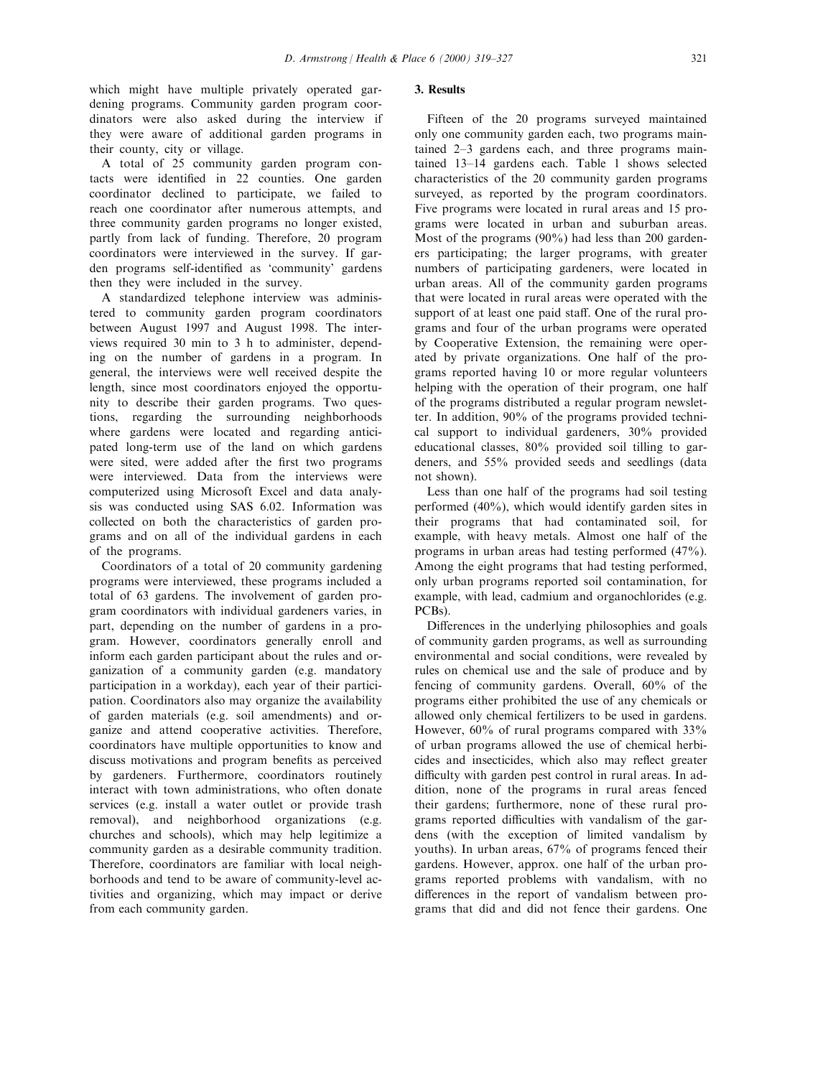which might have multiple privately operated gardening programs. Community garden program coordinators were also asked during the interview if they were aware of additional garden programs in their county, city or village.

A total of 25 community garden program contacts were identified in 22 counties. One garden coordinator declined to participate, we failed to reach one coordinator after numerous attempts, and three community garden programs no longer existed, partly from lack of funding. Therefore, 20 program coordinators were interviewed in the survey. If garden programs self-identified as 'community' gardens then they were included in the survey.

A standardized telephone interview was administered to community garden program coordinators between August 1997 and August 1998. The interviews required 30 min to 3 h to administer, depending on the number of gardens in a program. In general, the interviews were well received despite the length, since most coordinators enjoyed the opportunity to describe their garden programs. Two questions, regarding the surrounding neighborhoods where gardens were located and regarding anticipated long-term use of the land on which gardens were sited, were added after the first two programs were interviewed. Data from the interviews were computerized using Microsoft Excel and data analysis was conducted using SAS 6.02. Information was collected on both the characteristics of garden programs and on all of the individual gardens in each of the programs.

Coordinators of a total of 20 community gardening programs were interviewed, these programs included a total of 63 gardens. The involvement of garden program coordinators with individual gardeners varies, in part, depending on the number of gardens in a program. However, coordinators generally enroll and inform each garden participant about the rules and organization of a community garden (e.g. mandatory participation in a workday), each year of their participation. Coordinators also may organize the availability of garden materials (e.g. soil amendments) and organize and attend cooperative activities. Therefore, coordinators have multiple opportunities to know and discuss motivations and program benefits as perceived by gardeners. Furthermore, coordinators routinely interact with town administrations, who often donate services (e.g. install a water outlet or provide trash removal), and neighborhood organizations (e.g. churches and schools), which may help legitimize a community garden as a desirable community tradition. Therefore, coordinators are familiar with local neighborhoods and tend to be aware of community-level activities and organizing, which may impact or derive from each community garden.

#### 3. Results

Fifteen of the 20 programs surveyed maintained only one community garden each, two programs maintained  $2-3$  gardens each, and three programs maintained 13-14 gardens each. Table 1 shows selected characteristics of the 20 community garden programs surveyed, as reported by the program coordinators. Five programs were located in rural areas and 15 programs were located in urban and suburban areas. Most of the programs (90%) had less than 200 gardeners participating; the larger programs, with greater numbers of participating gardeners, were located in urban areas. All of the community garden programs that were located in rural areas were operated with the support of at least one paid staff. One of the rural programs and four of the urban programs were operated by Cooperative Extension, the remaining were operated by private organizations. One half of the programs reported having 10 or more regular volunteers helping with the operation of their program, one half of the programs distributed a regular program newsletter. In addition, 90% of the programs provided technical support to individual gardeners, 30% provided educational classes, 80% provided soil tilling to gardeners, and 55% provided seeds and seedlings (data not shown).

Less than one half of the programs had soil testing performed (40%), which would identify garden sites in their programs that had contaminated soil, for example, with heavy metals. Almost one half of the programs in urban areas had testing performed (47%). Among the eight programs that had testing performed, only urban programs reported soil contamination, for example, with lead, cadmium and organochlorides (e.g. PCBs).

Differences in the underlying philosophies and goals of community garden programs, as well as surrounding environmental and social conditions, were revealed by rules on chemical use and the sale of produce and by fencing of community gardens. Overall, 60% of the programs either prohibited the use of any chemicals or allowed only chemical fertilizers to be used in gardens. However, 60% of rural programs compared with 33% of urban programs allowed the use of chemical herbicides and insecticides, which also may reflect greater difficulty with garden pest control in rural areas. In addition, none of the programs in rural areas fenced their gardens; furthermore, none of these rural programs reported difficulties with vandalism of the gardens (with the exception of limited vandalism by youths). In urban areas, 67% of programs fenced their gardens. However, approx. one half of the urban programs reported problems with vandalism, with no differences in the report of vandalism between programs that did and did not fence their gardens. One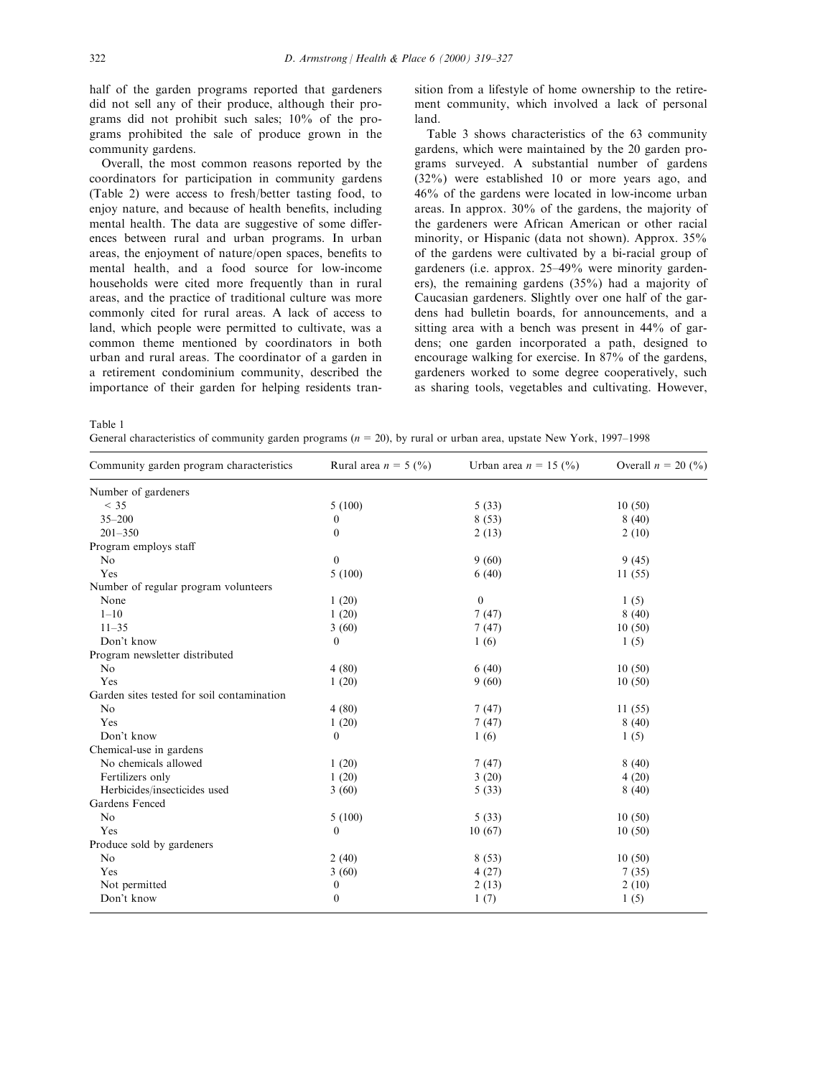half of the garden programs reported that gardeners did not sell any of their produce, although their programs did not prohibit such sales; 10% of the programs prohibited the sale of produce grown in the community gardens.

Overall, the most common reasons reported by the coordinators for participation in community gardens (Table 2) were access to fresh/better tasting food, to enjoy nature, and because of health benefits, including mental health. The data are suggestive of some differences between rural and urban programs. In urban areas, the enjoyment of nature/open spaces, benefits to mental health, and a food source for low-income households were cited more frequently than in rural areas, and the practice of traditional culture was more commonly cited for rural areas. A lack of access to land, which people were permitted to cultivate, was a common theme mentioned by coordinators in both urban and rural areas. The coordinator of a garden in a retirement condominium community, described the importance of their garden for helping residents transition from a lifestyle of home ownership to the retirement community, which involved a lack of personal land.

Table 3 shows characteristics of the 63 community gardens, which were maintained by the 20 garden programs surveyed. A substantial number of gardens (32%) were established 10 or more years ago, and 46% of the gardens were located in low-income urban areas. In approx. 30% of the gardens, the majority of the gardeners were African American or other racial minority, or Hispanic (data not shown). Approx. 35% of the gardens were cultivated by a bi-racial group of gardeners (i.e. approx. 25-49% were minority gardeners), the remaining gardens (35%) had a majority of Caucasian gardeners. Slightly over one half of the gardens had bulletin boards, for announcements, and a sitting area with a bench was present in 44% of gardens; one garden incorporated a path, designed to encourage walking for exercise. In 87% of the gardens, gardeners worked to some degree cooperatively, such as sharing tools, vegetables and cultivating. However,

Table 1

General characteristics of community garden programs ( $n = 20$ ), by rural or urban area, upstate New York, 1997–1998

| Community garden program characteristics   | Rural area $n = 5$ (%) | Urban area $n = 15$ (%) | Overall $n = 20$ (%) |
|--------------------------------------------|------------------------|-------------------------|----------------------|
| Number of gardeners                        |                        |                         |                      |
| $<$ 35                                     | 5(100)                 | 5(33)                   | 10(50)               |
| $35 - 200$                                 | $\theta$               | 8(53)                   | 8(40)                |
| $201 - 350$                                | $\theta$               | 2(13)                   | 2(10)                |
| Program employs staff                      |                        |                         |                      |
| N <sub>0</sub>                             | $\overline{0}$         | 9(60)                   | 9(45)                |
| Yes                                        | 5(100)                 | 6(40)                   | 11(55)               |
| Number of regular program volunteers       |                        |                         |                      |
| None                                       | 1(20)                  | $\boldsymbol{0}$        | 1(5)                 |
| $1 - 10$                                   | 1(20)                  | 7(47)                   | 8(40)                |
| $11 - 35$                                  | 3(60)                  | 7(47)                   | 10(50)               |
| Don't know                                 | $\overline{0}$         | 1(6)                    | 1(5)                 |
| Program newsletter distributed             |                        |                         |                      |
| No                                         | 4(80)                  | 6(40)                   | 10(50)               |
| Yes                                        | 1(20)                  | 9(60)                   | 10(50)               |
| Garden sites tested for soil contamination |                        |                         |                      |
| No                                         | 4(80)                  | 7(47)                   | 11(55)               |
| Yes                                        | 1(20)                  | 7(47)                   | 8(40)                |
| Don't know                                 | $\mathbf{0}$           | 1(6)                    | 1(5)                 |
| Chemical-use in gardens                    |                        |                         |                      |
| No chemicals allowed                       | 1(20)                  | 7(47)                   | 8(40)                |
| Fertilizers only                           | 1(20)                  | 3(20)                   | 4(20)                |
| Herbicides/insecticides used               | 3(60)                  | 5(33)                   | 8(40)                |
| Gardens Fenced                             |                        |                         |                      |
| N <sub>o</sub>                             | 5(100)                 | 5(33)                   | 10(50)               |
| Yes                                        | $\overline{0}$         | 10(67)                  | 10(50)               |
| Produce sold by gardeners                  |                        |                         |                      |
| No                                         | 2(40)                  | 8(53)                   | 10(50)               |
| Yes                                        | 3(60)                  | 4(27)                   | 7(35)                |
| Not permitted                              | $\boldsymbol{0}$       | 2(13)                   | 2(10)                |
| Don't know                                 | $\overline{0}$         | 1(7)                    | 1(5)                 |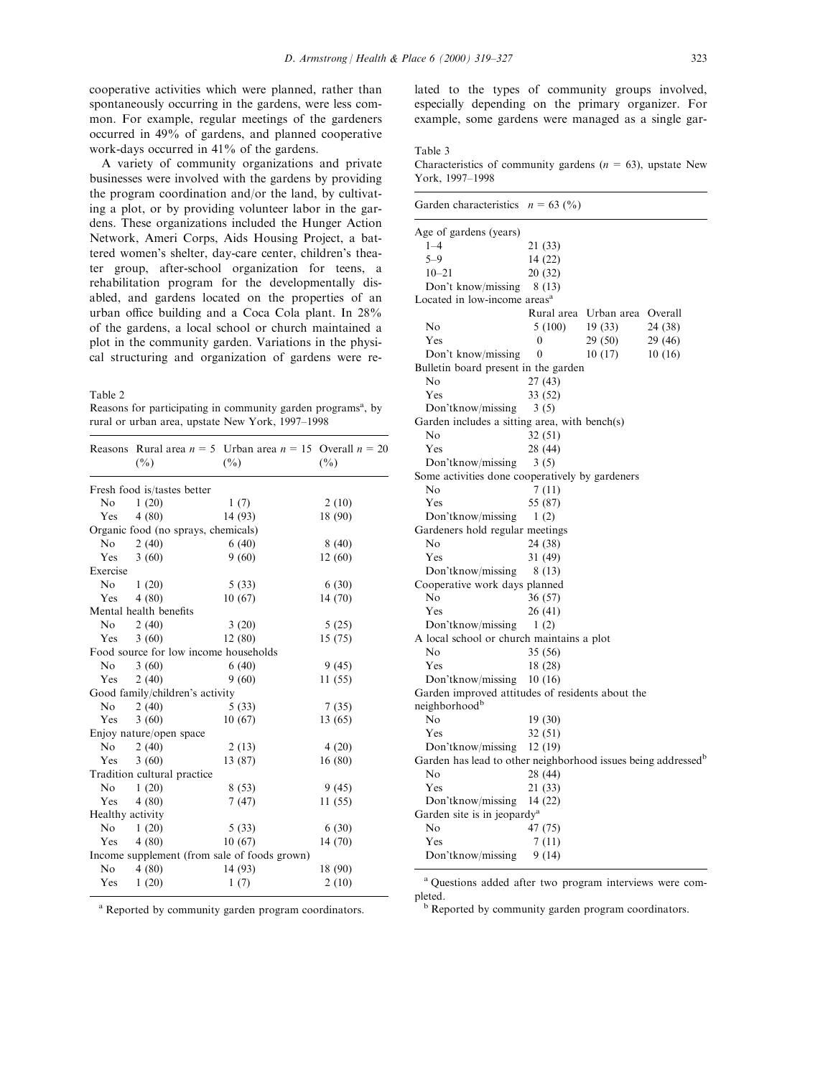cooperative activities which were planned, rather than spontaneously occurring in the gardens, were less common. For example, regular meetings of the gardeners occurred in 49% of gardens, and planned cooperative work-days occurred in 41% of the gardens.

A variety of community organizations and private businesses were involved with the gardens by providing the program coordination and/or the land, by cultivating a plot, or by providing volunteer labor in the gardens. These organizations included the Hunger Action Network, Ameri Corps, Aids Housing Project, a battered women's shelter, day-care center, children's theater group, after-school organization for teens, a rehabilitation program for the developmentally disabled, and gardens located on the properties of an urban office building and a Coca Cola plant. In 28% of the gardens, a local school or church maintained a plot in the community garden. Variations in the physical structuring and organization of gardens were re-

Table 2

Reasons for participating in community garden programs<sup>a</sup>, by rural or urban area, upstate New York, 1997-1998

|                  | $(\%)$                                | Reasons Rural area $n = 5$ Urban area $n = 15$ Overall $n = 20$<br>$(\%)$ | $(\%)$  |
|------------------|---------------------------------------|---------------------------------------------------------------------------|---------|
|                  | Fresh food is/tastes better           |                                                                           |         |
| No               | 1(20)                                 | 1(7)                                                                      | 2(10)   |
| Yes              | 4(80)                                 | 14 (93)                                                                   | 18 (90) |
|                  | Organic food (no sprays, chemicals)   |                                                                           |         |
| No.              | 2(40)                                 | 6(40)                                                                     | 8(40)   |
| Yes              | 3(60)                                 | 9(60)                                                                     | 12(60)  |
| Exercise         |                                       |                                                                           |         |
| N <sub>o</sub>   | 1(20)                                 | 5(33)                                                                     | 6(30)   |
| Yes              | 4(80)                                 | 10(67)                                                                    | 14(70)  |
|                  | Mental health benefits                |                                                                           |         |
| No               | 2(40)                                 | 3(20)                                                                     | 5(25)   |
| Yes              | 3(60)                                 | 12(80)                                                                    | 15(75)  |
|                  | Food source for low income households |                                                                           |         |
| No.              | 3(60)                                 | 6(40)                                                                     | 9(45)   |
| Yes              | 2(40)                                 | 9(60)                                                                     | 11(55)  |
|                  | Good family/children's activity       |                                                                           |         |
| N <sub>o</sub>   | 2(40)                                 | 5(33)                                                                     | 7(35)   |
| Yes              | 3(60)                                 | 10(67)                                                                    | 13 (65) |
|                  | Enjoy nature/open space               |                                                                           |         |
| No               | 2(40)                                 | 2(13)                                                                     | 4(20)   |
| Yes              | 3(60)                                 | 13 (87)                                                                   | 16(80)  |
|                  | Tradition cultural practice           |                                                                           |         |
| N <sub>o</sub>   | 1(20)                                 | 8(53)                                                                     | 9(45)   |
| Yes              | 4(80)                                 | 7(47)                                                                     | 11(55)  |
| Healthy activity |                                       |                                                                           |         |
| No               | 1(20)                                 | 5(33)                                                                     | 6(30)   |
| Yes              | 4(80)                                 | 10(67)                                                                    | 14(70)  |
|                  |                                       | Income supplement (from sale of foods grown)                              |         |
| No               | 4(80)                                 | 14 (93)                                                                   | 18 (90) |
| Yes              | 1(20)                                 | 1(7)                                                                      | 2(10)   |
|                  |                                       |                                                                           |         |

lated to the types of community groups involved, especially depending on the primary organizer. For example, some gardens were managed as a single gar-

# Table 3

Characteristics of community gardens ( $n = 63$ ), upstate New York, 1997-1998

| Garden characteristics                                                    | $n = 63$ (%) |            |         |
|---------------------------------------------------------------------------|--------------|------------|---------|
| Age of gardens (years)                                                    |              |            |         |
| $1 - 4$                                                                   | 21 (33)      |            |         |
| $5 - 9$                                                                   | 14 (22)      |            |         |
| $10 - 21$                                                                 | 20 (32)      |            |         |
| Don't know/missing                                                        | 8 (13)       |            |         |
| Located in low-income areas <sup>a</sup>                                  |              |            |         |
|                                                                           | Rural area   | Urban area | Overall |
| No                                                                        | 5 (100)      | 19(33)     | 24 (38) |
| Yes                                                                       | 0            | 29 (50)    | 29 (46) |
| Don't know/missing                                                        | $\theta$     | 10(17)     | 10(16)  |
| Bulletin board present in the garden                                      |              |            |         |
| No                                                                        | 27 (43)      |            |         |
| Yes                                                                       | 33 (52)      |            |         |
| Don'tknow/missing                                                         | 3(5)         |            |         |
| Garden includes a sitting area, with bench(s)                             |              |            |         |
| No                                                                        | 32 (51)      |            |         |
| Yes                                                                       | 28 (44)      |            |         |
| Don'tknow/missing                                                         | 3(5)         |            |         |
| Some activities done cooperatively by gardeners                           |              |            |         |
| No                                                                        | 7 (11)       |            |         |
| Yes                                                                       | 55 (87)      |            |         |
| Don'tknow/missing                                                         | 1(2)         |            |         |
| Gardeners hold regular meetings                                           |              |            |         |
| No                                                                        | 24 (38)      |            |         |
| Yes                                                                       | 31 (49)      |            |         |
| Don'tknow/missing                                                         | 8 (13)       |            |         |
| Cooperative work days planned                                             |              |            |         |
| N <sub>0</sub>                                                            | 36 (57)      |            |         |
| Yes                                                                       | 26 (41)      |            |         |
| Don'tknow/missing                                                         | 1(2)         |            |         |
| A local school or church maintains a plot                                 |              |            |         |
| No                                                                        | 35 (56)      |            |         |
| Yes                                                                       | 18 (28)      |            |         |
| Don'tknow/missing                                                         | 10(16)       |            |         |
| Garden improved attitudes of residents about the                          |              |            |         |
| neighborhood <sup>b</sup>                                                 |              |            |         |
| No                                                                        | 19 (30)      |            |         |
| Yes                                                                       | 32 (51)      |            |         |
| Don'tknow/missing                                                         | 12(19)       |            |         |
| Garden has lead to other neighborhood issues being addressed <sup>b</sup> |              |            |         |
| No                                                                        | 28 (44)      |            |         |
| Yes                                                                       | 21 (33)      |            |         |
| Don'tknow/missing                                                         | 14 (22)      |            |         |
| Garden site is in jeopardy <sup>a</sup>                                   |              |            |         |
| No                                                                        | 47 (75)      |            |         |
| Yes                                                                       | 7 (11)       |            |         |
| Don'tknow/missing                                                         | 9(14)        |            |         |

<sup>a</sup> Questions added after two program interviews were completed.<br><sup>b</sup> Reported by community garden program coordinators.

<sup>a</sup> Reported by community garden program coordinators.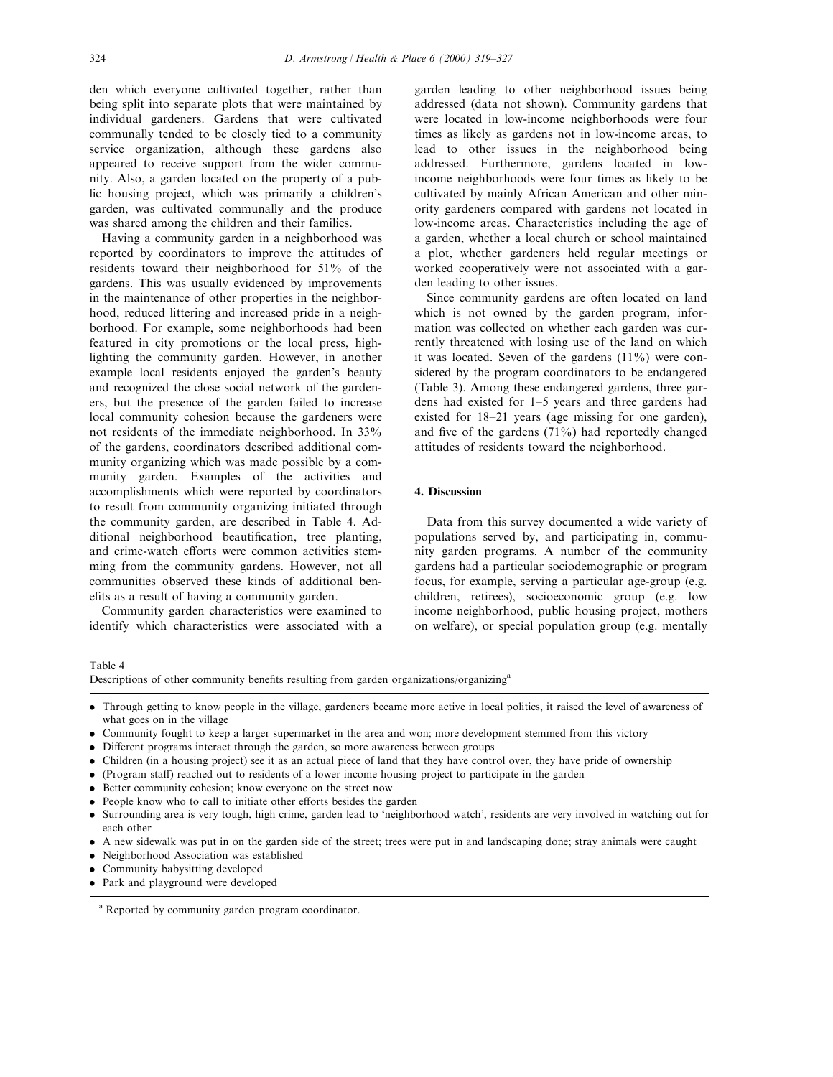den which everyone cultivated together, rather than being split into separate plots that were maintained by individual gardeners. Gardens that were cultivated communally tended to be closely tied to a community service organization, although these gardens also appeared to receive support from the wider community. Also, a garden located on the property of a public housing project, which was primarily a children's garden, was cultivated communally and the produce was shared among the children and their families.

Having a community garden in a neighborhood was reported by coordinators to improve the attitudes of residents toward their neighborhood for 51% of the gardens. This was usually evidenced by improvements in the maintenance of other properties in the neighborhood, reduced littering and increased pride in a neighborhood. For example, some neighborhoods had been featured in city promotions or the local press, highlighting the community garden. However, in another example local residents enjoyed the garden's beauty and recognized the close social network of the gardeners, but the presence of the garden failed to increase local community cohesion because the gardeners were not residents of the immediate neighborhood. In 33% of the gardens, coordinators described additional community organizing which was made possible by a community garden. Examples of the activities and accomplishments which were reported by coordinators to result from community organizing initiated through the community garden, are described in Table 4. Additional neighborhood beautification, tree planting, and crime-watch efforts were common activities stemming from the community gardens. However, not all communities observed these kinds of additional benefits as a result of having a community garden.

Community garden characteristics were examined to identify which characteristics were associated with a garden leading to other neighborhood issues being addressed (data not shown). Community gardens that were located in low-income neighborhoods were four times as likely as gardens not in low-income areas, to lead to other issues in the neighborhood being addressed. Furthermore, gardens located in lowincome neighborhoods were four times as likely to be cultivated by mainly African American and other minority gardeners compared with gardens not located in low-income areas. Characteristics including the age of a garden, whether a local church or school maintained a plot, whether gardeners held regular meetings or worked cooperatively were not associated with a garden leading to other issues.

Since community gardens are often located on land which is not owned by the garden program, information was collected on whether each garden was currently threatened with losing use of the land on which it was located. Seven of the gardens (11%) were considered by the program coordinators to be endangered (Table 3). Among these endangered gardens, three gardens had existed for  $1-5$  years and three gardens had existed for 18-21 years (age missing for one garden), and five of the gardens  $(71\%)$  had reportedly changed attitudes of residents toward the neighborhood.

# 4. Discussion

Data from this survey documented a wide variety of populations served by, and participating in, community garden programs. A number of the community gardens had a particular sociodemographic or program focus, for example, serving a particular age-group (e.g. children, retirees), socioeconomic group (e.g. low income neighborhood, public housing project, mothers on welfare), or special population group (e.g. mentally

# Table 4

Descriptions of other community benefits resulting from garden organizations/organizing<sup>a</sup>

- . Through getting to know people in the village, gardeners became more active in local politics, it raised the level of awareness of what goes on in the village
- . Community fought to keep a larger supermarket in the area and won; more development stemmed from this victory
- Different programs interact through the garden, so more awareness between groups
- . Children (in a housing project) see it as an actual piece of land that they have control over, they have pride of ownership
- (Program staff) reached out to residents of a lower income housing project to participate in the garden
- . Better community cohesion; know everyone on the street now
- People know who to call to initiate other efforts besides the garden
- . Surrounding area is very tough, high crime, garden lead to `neighborhood watch', residents are very involved in watching out for each other
- . A new sidewalk was put in on the garden side of the street; trees were put in and landscaping done; stray animals were caught
- . Neighborhood Association was established
- . Community babysitting developed
- . Park and playground were developed

<sup>a</sup> Reported by community garden program coordinator.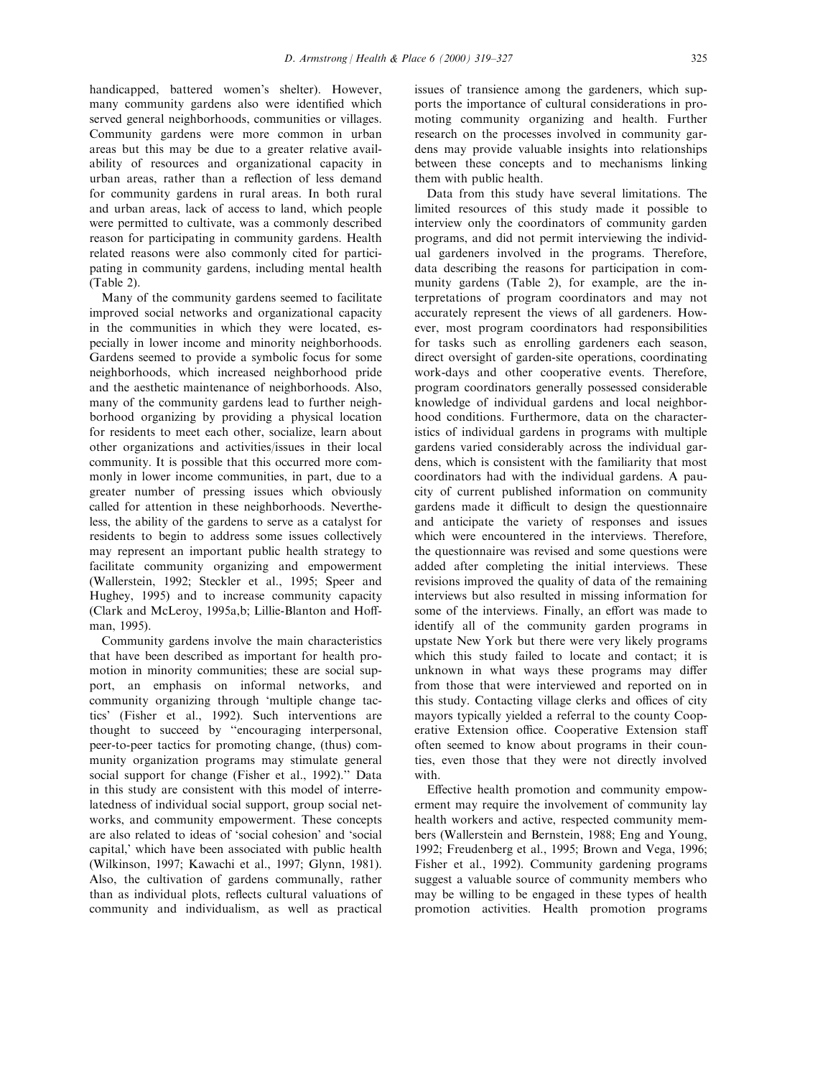handicapped, battered women's shelter). However, many community gardens also were identified which served general neighborhoods, communities or villages. Community gardens were more common in urban areas but this may be due to a greater relative availability of resources and organizational capacity in urban areas, rather than a reflection of less demand for community gardens in rural areas. In both rural and urban areas, lack of access to land, which people were permitted to cultivate, was a commonly described reason for participating in community gardens. Health related reasons were also commonly cited for participating in community gardens, including mental health (Table 2).

Many of the community gardens seemed to facilitate improved social networks and organizational capacity in the communities in which they were located, especially in lower income and minority neighborhoods. Gardens seemed to provide a symbolic focus for some neighborhoods, which increased neighborhood pride and the aesthetic maintenance of neighborhoods. Also, many of the community gardens lead to further neighborhood organizing by providing a physical location for residents to meet each other, socialize, learn about other organizations and activities/issues in their local community. It is possible that this occurred more commonly in lower income communities, in part, due to a greater number of pressing issues which obviously called for attention in these neighborhoods. Nevertheless, the ability of the gardens to serve as a catalyst for residents to begin to address some issues collectively may represent an important public health strategy to facilitate community organizing and empowerment (Wallerstein, 1992; Steckler et al., 1995; Speer and Hughey, 1995) and to increase community capacity (Clark and McLeroy, 1995a,b; Lillie-Blanton and Hoffman, 1995).

Community gardens involve the main characteristics that have been described as important for health promotion in minority communities; these are social support, an emphasis on informal networks, and community organizing through `multiple change tactics' (Fisher et al., 1992). Such interventions are thought to succeed by "encouraging interpersonal, peer-to-peer tactics for promoting change, (thus) community organization programs may stimulate general social support for change (Fisher et al., 1992).'' Data in this study are consistent with this model of interrelatedness of individual social support, group social networks, and community empowerment. These concepts are also related to ideas of `social cohesion' and `social capital,' which have been associated with public health (Wilkinson, 1997; Kawachi et al., 1997; Glynn, 1981). Also, the cultivation of gardens communally, rather than as individual plots, reflects cultural valuations of community and individualism, as well as practical issues of transience among the gardeners, which supports the importance of cultural considerations in promoting community organizing and health. Further research on the processes involved in community gardens may provide valuable insights into relationships between these concepts and to mechanisms linking them with public health.

Data from this study have several limitations. The limited resources of this study made it possible to interview only the coordinators of community garden programs, and did not permit interviewing the individual gardeners involved in the programs. Therefore, data describing the reasons for participation in community gardens (Table 2), for example, are the interpretations of program coordinators and may not accurately represent the views of all gardeners. However, most program coordinators had responsibilities for tasks such as enrolling gardeners each season, direct oversight of garden-site operations, coordinating work-days and other cooperative events. Therefore, program coordinators generally possessed considerable knowledge of individual gardens and local neighborhood conditions. Furthermore, data on the characteristics of individual gardens in programs with multiple gardens varied considerably across the individual gardens, which is consistent with the familiarity that most coordinators had with the individual gardens. A paucity of current published information on community gardens made it difficult to design the questionnaire and anticipate the variety of responses and issues which were encountered in the interviews. Therefore, the questionnaire was revised and some questions were added after completing the initial interviews. These revisions improved the quality of data of the remaining interviews but also resulted in missing information for some of the interviews. Finally, an effort was made to identify all of the community garden programs in upstate New York but there were very likely programs which this study failed to locate and contact; it is unknown in what ways these programs may differ from those that were interviewed and reported on in this study. Contacting village clerks and offices of city mayors typically yielded a referral to the county Cooperative Extension office. Cooperative Extension staff often seemed to know about programs in their counties, even those that they were not directly involved with.

Effective health promotion and community empowerment may require the involvement of community lay health workers and active, respected community members (Wallerstein and Bernstein, 1988; Eng and Young, 1992; Freudenberg et al., 1995; Brown and Vega, 1996; Fisher et al., 1992). Community gardening programs suggest a valuable source of community members who may be willing to be engaged in these types of health promotion activities. Health promotion programs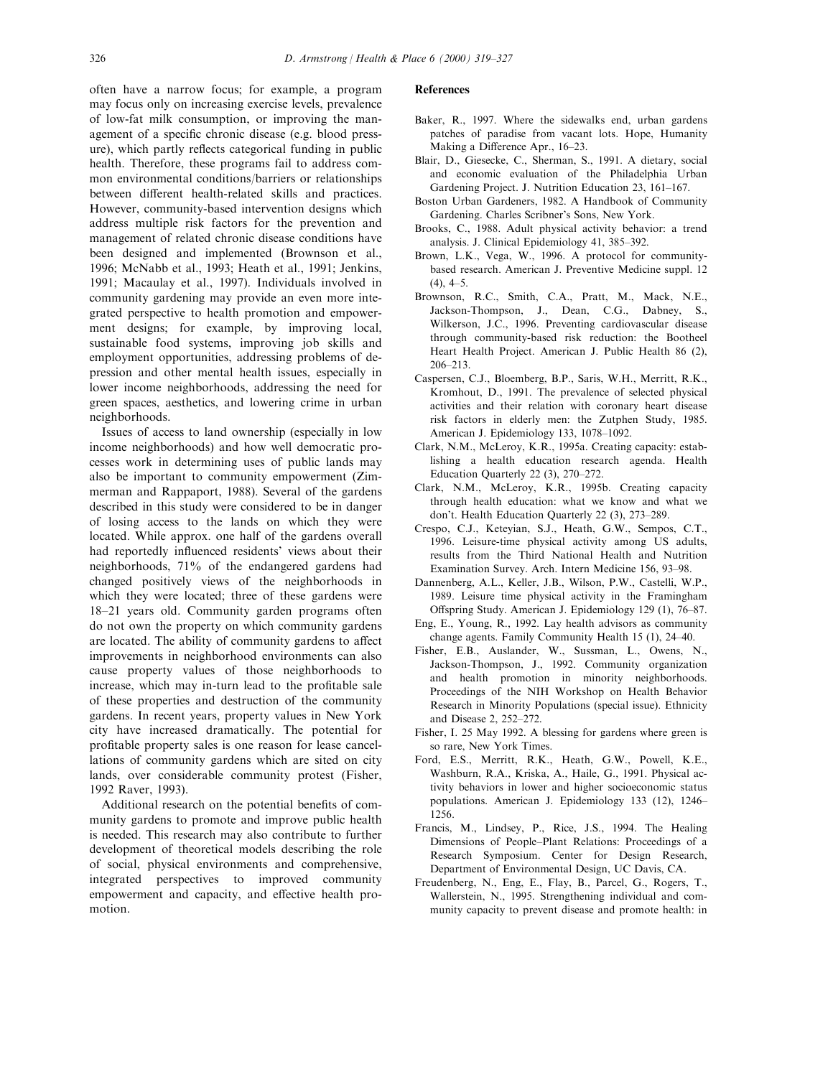often have a narrow focus; for example, a program may focus only on increasing exercise levels, prevalence of low-fat milk consumption, or improving the management of a specific chronic disease (e.g. blood pressure), which partly reflects categorical funding in public health. Therefore, these programs fail to address common environmental conditions/barriers or relationships between different health-related skills and practices. However, community-based intervention designs which address multiple risk factors for the prevention and management of related chronic disease conditions have been designed and implemented (Brownson et al., 1996; McNabb et al., 1993; Heath et al., 1991; Jenkins, 1991; Macaulay et al., 1997). Individuals involved in community gardening may provide an even more integrated perspective to health promotion and empowerment designs; for example, by improving local, sustainable food systems, improving job skills and employment opportunities, addressing problems of depression and other mental health issues, especially in lower income neighborhoods, addressing the need for green spaces, aesthetics, and lowering crime in urban neighborhoods.

Issues of access to land ownership (especially in low income neighborhoods) and how well democratic processes work in determining uses of public lands may also be important to community empowerment (Zimmerman and Rappaport, 1988). Several of the gardens described in this study were considered to be in danger of losing access to the lands on which they were located. While approx. one half of the gardens overall had reportedly influenced residents' views about their neighborhoods, 71% of the endangered gardens had changed positively views of the neighborhoods in which they were located; three of these gardens were 18-21 years old. Community garden programs often do not own the property on which community gardens are located. The ability of community gardens to affect improvements in neighborhood environments can also cause property values of those neighborhoods to increase, which may in-turn lead to the profitable sale of these properties and destruction of the community gardens. In recent years, property values in New York city have increased dramatically. The potential for profitable property sales is one reason for lease cancellations of community gardens which are sited on city lands, over considerable community protest (Fisher, 1992 Raver, 1993).

Additional research on the potential benefits of community gardens to promote and improve public health is needed. This research may also contribute to further development of theoretical models describing the role of social, physical environments and comprehensive, integrated perspectives to improved community empowerment and capacity, and effective health promotion.

## References

- Baker, R., 1997. Where the sidewalks end, urban gardens patches of paradise from vacant lots. Hope, Humanity Making a Difference Apr., 16-23.
- Blair, D., Giesecke, C., Sherman, S., 1991. A dietary, social and economic evaluation of the Philadelphia Urban Gardening Project. J. Nutrition Education 23, 161-167.
- Boston Urban Gardeners, 1982. A Handbook of Community Gardening. Charles Scribner's Sons, New York.
- Brooks, C., 1988. Adult physical activity behavior: a trend analysis. J. Clinical Epidemiology 41, 385-392.
- Brown, L.K., Vega, W., 1996. A protocol for communitybased research. American J. Preventive Medicine suppl. 12  $(4)$ ,  $4-5$ .
- Brownson, R.C., Smith, C.A., Pratt, M., Mack, N.E., Jackson-Thompson, J., Dean, C.G., Dabney, S., Wilkerson, J.C., 1996. Preventing cardiovascular disease through community-based risk reduction: the Bootheel Heart Health Project. American J. Public Health 86 (2), 206±213.
- Caspersen, C.J., Bloemberg, B.P., Saris, W.H., Merritt, R.K., Kromhout, D., 1991. The prevalence of selected physical activities and their relation with coronary heart disease risk factors in elderly men: the Zutphen Study, 1985. American J. Epidemiology 133, 1078-1092.
- Clark, N.M., McLeroy, K.R., 1995a. Creating capacity: establishing a health education research agenda. Health Education Quarterly  $22$  (3),  $270-272$ .
- Clark, N.M., McLeroy, K.R., 1995b. Creating capacity through health education: what we know and what we don't. Health Education Quarterly 22 (3), 273-289.
- Crespo, C.J., Keteyian, S.J., Heath, G.W., Sempos, C.T., 1996. Leisure-time physical activity among US adults, results from the Third National Health and Nutrition Examination Survey. Arch. Intern Medicine 156, 93-98.
- Dannenberg, A.L., Keller, J.B., Wilson, P.W., Castelli, W.P., 1989. Leisure time physical activity in the Framingham Offspring Study. American J. Epidemiology 129 (1), 76-87.
- Eng, E., Young, R., 1992. Lay health advisors as community change agents. Family Community Health  $15$  (1),  $24-40$ .
- Fisher, E.B., Auslander, W., Sussman, L., Owens, N., Jackson-Thompson, J., 1992. Community organization and health promotion in minority neighborhoods. Proceedings of the NIH Workshop on Health Behavior Research in Minority Populations (special issue). Ethnicity and Disease 2, 252–272.
- Fisher, I. 25 May 1992. A blessing for gardens where green is so rare, New York Times.
- Ford, E.S., Merritt, R.K., Heath, G.W., Powell, K.E., Washburn, R.A., Kriska, A., Haile, G., 1991. Physical activity behaviors in lower and higher socioeconomic status populations. American J. Epidemiology 133 (12), 1246-1256.
- Francis, M., Lindsey, P., Rice, J.S., 1994. The Healing Dimensions of People-Plant Relations: Proceedings of a Research Symposium. Center for Design Research, Department of Environmental Design, UC Davis, CA.
- Freudenberg, N., Eng, E., Flay, B., Parcel, G., Rogers, T., Wallerstein, N., 1995. Strengthening individual and community capacity to prevent disease and promote health: in